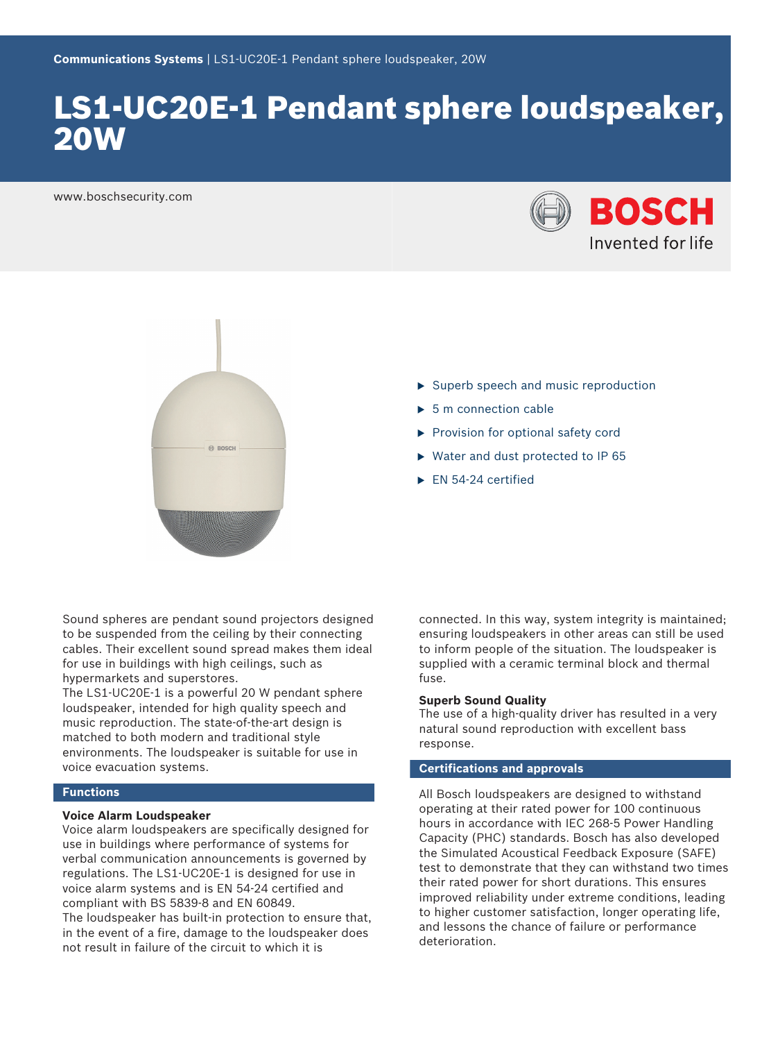# LS1-UC20E-1 Pendant sphere loudspeaker, 20W

www.boschsecurity.com





 $\blacktriangleright$  Superb speech and music reproduction

- $\blacktriangleright$  5 m connection cable
- $\blacktriangleright$  Provision for optional safety cord
- $\triangleright$  Water and dust protected to IP 65
- $\blacktriangleright$  EN 54-24 certified

Sound spheres are pendant sound projectors designed to be suspended from the ceiling by their connecting cables. Their excellent sound spread makes them ideal for use in buildings with high ceilings, such as hypermarkets and superstores.

The LS1-UC20E-1 is a powerful 20 W pendant sphere loudspeaker, intended for high quality speech and music reproduction. The state-of-the-art design is matched to both modern and traditional style environments. The loudspeaker is suitable for use in voice evacuation systems.

#### **Functions**

#### **Voice Alarm Loudspeaker**

Voice alarm loudspeakers are specifically designed for use in buildings where performance of systems for verbal communication announcements is governed by regulations. The LS1‑UC20E‑1 is designed for use in voice alarm systems and is EN 54‑24 certified and compliant with BS 5839‑8 and EN 60849.

The loudspeaker has built-in protection to ensure that, in the event of a fire, damage to the loudspeaker does not result in failure of the circuit to which it is

connected. In this way, system integrity is maintained; ensuring loudspeakers in other areas can still be used to inform people of the situation. The loudspeaker is supplied with a ceramic terminal block and thermal fuse.

#### **Superb Sound Quality**

The use of a high-quality driver has resulted in a very natural sound reproduction with excellent bass response.

### **Certifications and approvals**

All Bosch loudspeakers are designed to withstand operating at their rated power for 100 continuous hours in accordance with IEC 268‑5 Power Handling Capacity (PHC) standards. Bosch has also developed the Simulated Acoustical Feedback Exposure (SAFE) test to demonstrate that they can withstand two times their rated power for short durations. This ensures improved reliability under extreme conditions, leading to higher customer satisfaction, longer operating life, and lessons the chance of failure or performance deterioration.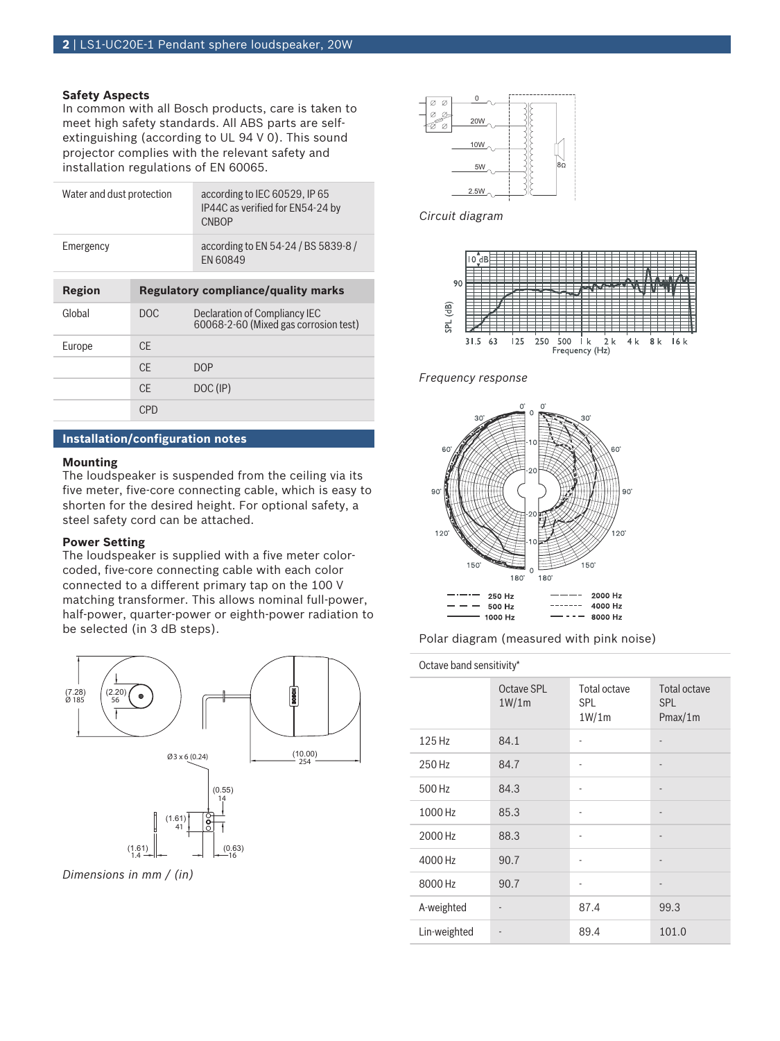### **Safety Aspects**

In common with all Bosch products, care is taken to meet high safety standards. All ABS parts are selfextinguishing (according to UL 94 V 0). This sound projector complies with the relevant safety and installation regulations of EN 60065.

| Water and dust protection |                                            | according to IEC 60529, IP 65<br>IP44C as verified for EN54-24 by<br><b>CNBOP</b> |
|---------------------------|--------------------------------------------|-----------------------------------------------------------------------------------|
| Emergency                 |                                            | according to EN 54-24 / BS 5839-8 /<br><b>FN 60849</b>                            |
| <b>Region</b>             | <b>Regulatory compliance/quality marks</b> |                                                                                   |
| Global                    | DOC.                                       | Declaration of Compliancy IEC<br>60068-2-60 (Mixed gas corrosion test)            |
| Europe                    | CF.                                        |                                                                                   |
|                           | CF.                                        | <b>DOP</b>                                                                        |
|                           | CF.                                        | DOC (IP)                                                                          |
|                           | CPD                                        |                                                                                   |

#### **Installation/configuration notes**

#### **Mounting**

The loudspeaker is suspended from the ceiling via its five meter, five-core connecting cable, which is easy to shorten for the desired height. For optional safety, a steel safety cord can be attached.

#### **Power Setting**

The loudspeaker is supplied with a five meter colorcoded, five‑core connecting cable with each color connected to a different primary tap on the 100 V matching transformer. This allows nominal full-power, half-power, quarter-power or eighth-power radiation to be selected (in 3 dB steps).



*Dimensions in mm / (in)*



*Circuit diagram*



*Frequency response*



Polar diagram (measured with pink noise)

## Octave band sensitivity\*

|              | Octave SPL<br>1W/1m | Total octave<br><b>SPL</b><br>1W/1m | Total octave<br><b>SPL</b><br>Pmax/1m |
|--------------|---------------------|-------------------------------------|---------------------------------------|
| 125 Hz       | 84.1                |                                     |                                       |
| 250 Hz       | 84.7                | ٠                                   | $\overline{a}$                        |
| 500 Hz       | 84.3                |                                     | $\overline{\phantom{m}}$              |
| 1000 Hz      | 85.3                |                                     | $\overline{\phantom{m}}$              |
| 2000 Hz      | 88.3                |                                     | -                                     |
| 4000 Hz      | 90.7                | ٠                                   | $\overline{a}$                        |
| 8000 Hz      | 90.7                | ٠                                   | $\overline{\phantom{m}}$              |
| A-weighted   |                     | 87.4                                | 99.3                                  |
| Lin-weighted |                     | 89.4                                | 101.0                                 |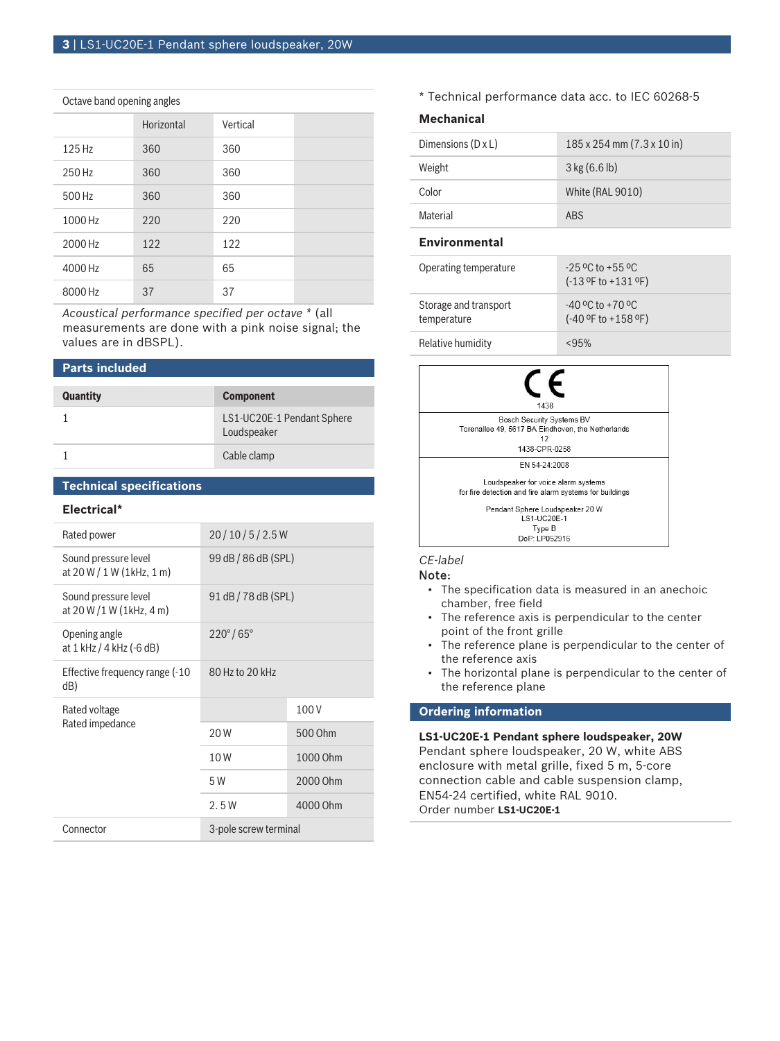#### Octave band opening angles

|         | Horizontal | Vertical |  |
|---------|------------|----------|--|
| 125 Hz  | 360        | 360      |  |
| 250 Hz  | 360        | 360      |  |
| 500 Hz  | 360        | 360      |  |
| 1000 Hz | 220        | 220      |  |
| 2000 Hz | 122        | 122      |  |
| 4000 Hz | 65         | 65       |  |
| 8000 Hz | 37         | 37       |  |

*Acoustical performance specified per octave \** (all measurements are done with a pink noise signal; the values are in dBSPL).

#### **Parts included**

| <b>Quantity</b> | <b>Component</b>                          |
|-----------------|-------------------------------------------|
|                 | LS1-UC20E-1 Pendant Sphere<br>Loudspeaker |
|                 | Cable clamp                               |

#### **Technical specifications**

#### **Electrical\***

| Rated power                                          | 20/10/5/2.5W             |          |
|------------------------------------------------------|--------------------------|----------|
| Sound pressure level<br>at $20 W / 1 W (1 kHz, 1 m)$ | 99 dB / 86 dB (SPL)      |          |
| Sound pressure level<br>at $20 W / 1 W (1 kHz, 4 m)$ | 91 dB / 78 dB (SPL)      |          |
| Opening angle<br>at 1 kHz / 4 kHz (-6 dB)            | $220^{\circ}/65^{\circ}$ |          |
| Effective frequency range (-10<br>dB)                | 80 Hz to 20 kHz          |          |
| Rated voltage<br>Rated impedance                     |                          | 100V     |
|                                                      | 20 W                     | 500 Ohm  |
|                                                      | 10W                      | 1000 Ohm |
|                                                      | 5 W                      | 2000 Ohm |
|                                                      | 2.5W                     | 4000 Ohm |
| Connector                                            | 3-pole screw terminal    |          |

\* Technical performance data acc. to IEC 60268-5

### **Mechanical**

| <b>Environmental</b>      |                            |
|---------------------------|----------------------------|
| Material                  | ABS                        |
| Color                     | White (RAL 9010)           |
| Weight                    | $3$ kg (6.6 lb)            |
| Dimensions $(D \times L)$ | 185 x 254 mm (7.3 x 10 in) |
|                           |                            |

| Operating temperature                | $-25$ °C to $+55$ °C<br>$(-13$ °F to $+131$ °F)  |
|--------------------------------------|--------------------------------------------------|
| Storage and transport<br>temperature | $-40$ °C to $+70$ °C<br>$(-40 °F)$ to $+158 °F)$ |
| Relative humidity                    | < 95%                                            |



#### *CE-label*

#### Note:

- The specification data is measured in an anechoic chamber, free field
- The reference axis is perpendicular to the center point of the front grille
- The reference plane is perpendicular to the center of the reference axis
- The horizontal plane is perpendicular to the center of the reference plane

#### **Ordering information**

**LS1-UC20E-1 Pendant sphere loudspeaker, 20W** Pendant sphere loudspeaker, 20 W, white ABS enclosure with metal grille, fixed 5 m, 5-core connection cable and cable suspension clamp, EN54-24 certified, white RAL 9010. Order number **LS1-UC20E-1**